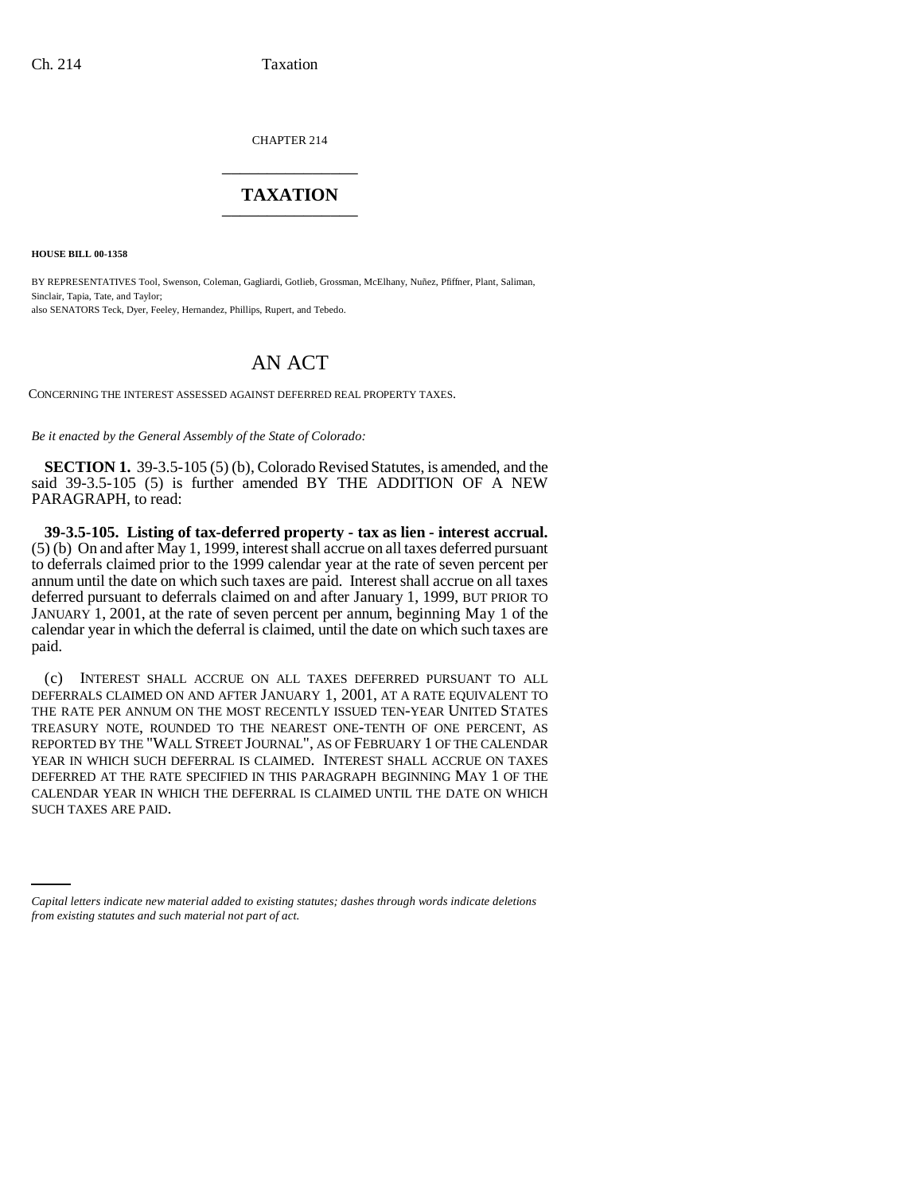CHAPTER 214 \_\_\_\_\_\_\_\_\_\_\_\_\_\_\_

## **TAXATION** \_\_\_\_\_\_\_\_\_\_\_\_\_\_\_

**HOUSE BILL 00-1358** 

BY REPRESENTATIVES Tool, Swenson, Coleman, Gagliardi, Gotlieb, Grossman, McElhany, Nuñez, Pfiffner, Plant, Saliman, Sinclair, Tapia, Tate, and Taylor; also SENATORS Teck, Dyer, Feeley, Hernandez, Phillips, Rupert, and Tebedo.

## AN ACT

CONCERNING THE INTEREST ASSESSED AGAINST DEFERRED REAL PROPERTY TAXES.

*Be it enacted by the General Assembly of the State of Colorado:*

**SECTION 1.** 39-3.5-105 (5) (b), Colorado Revised Statutes, is amended, and the said 39-3.5-105 (5) is further amended BY THE ADDITION OF A NEW PARAGRAPH, to read:

**39-3.5-105. Listing of tax-deferred property - tax as lien - interest accrual.** (5) (b) On and after May 1, 1999, interest shall accrue on all taxes deferred pursuant to deferrals claimed prior to the 1999 calendar year at the rate of seven percent per annum until the date on which such taxes are paid. Interest shall accrue on all taxes deferred pursuant to deferrals claimed on and after January 1, 1999, BUT PRIOR TO JANUARY 1, 2001, at the rate of seven percent per annum, beginning May 1 of the calendar year in which the deferral is claimed, until the date on which such taxes are paid.

SUCH TAXES ARE PAID.(c) INTEREST SHALL ACCRUE ON ALL TAXES DEFERRED PURSUANT TO ALL DEFERRALS CLAIMED ON AND AFTER JANUARY 1, 2001, AT A RATE EQUIVALENT TO THE RATE PER ANNUM ON THE MOST RECENTLY ISSUED TEN-YEAR UNITED STATES TREASURY NOTE, ROUNDED TO THE NEAREST ONE-TENTH OF ONE PERCENT, AS REPORTED BY THE "WALL STREET JOURNAL", AS OF FEBRUARY 1 OF THE CALENDAR YEAR IN WHICH SUCH DEFERRAL IS CLAIMED. INTEREST SHALL ACCRUE ON TAXES DEFERRED AT THE RATE SPECIFIED IN THIS PARAGRAPH BEGINNING MAY 1 OF THE CALENDAR YEAR IN WHICH THE DEFERRAL IS CLAIMED UNTIL THE DATE ON WHICH

*Capital letters indicate new material added to existing statutes; dashes through words indicate deletions from existing statutes and such material not part of act.*